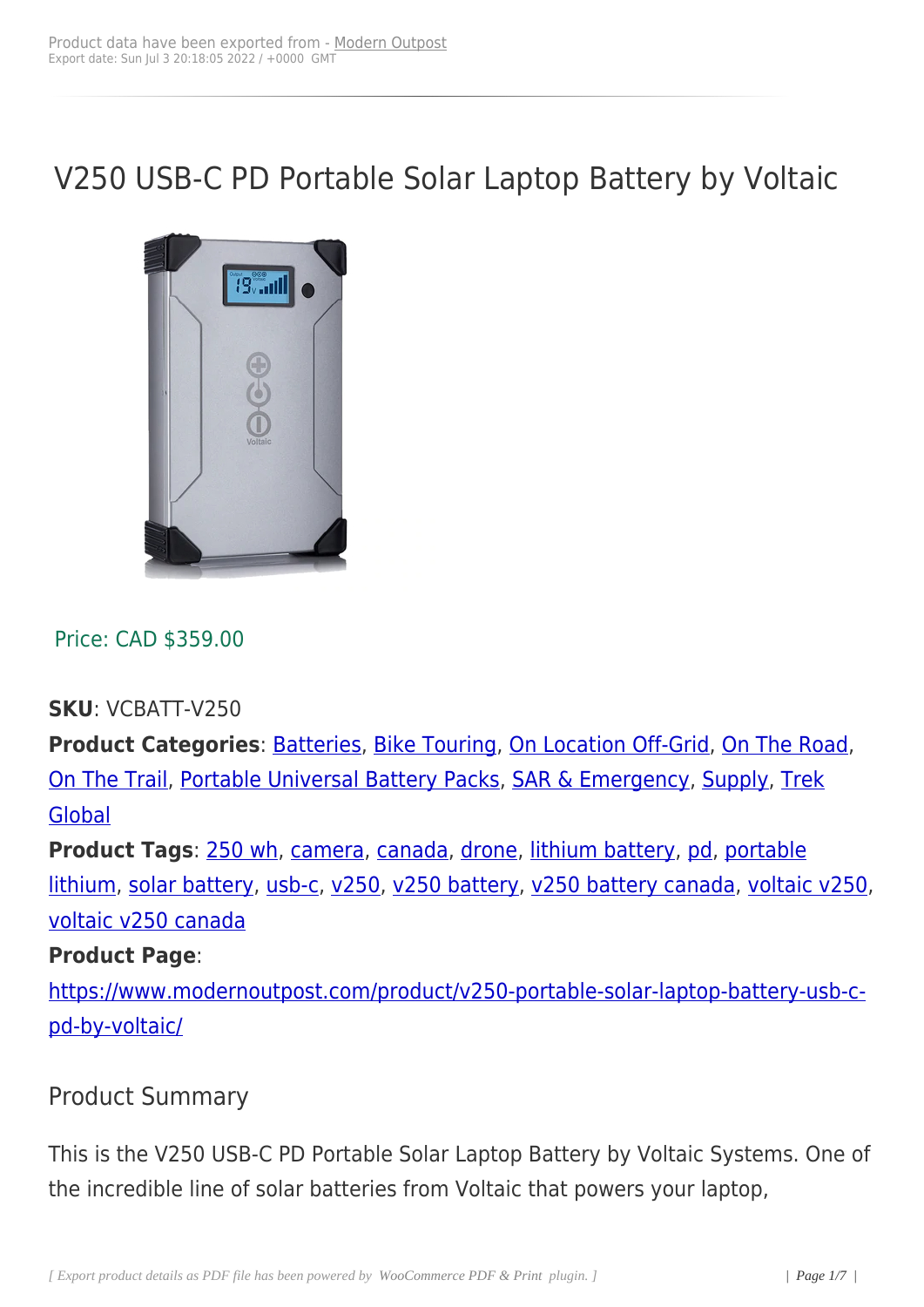# V250 USB-C PD Portable Solar Laptop Battery by Voltaic



Price: CAD \$359.00

**SKU**: VCBATT-V250

**Product Categories: Batteries, Bike Touring, On Location Off-Grid, On The Road,** On The Trail, Portable Universal Battery Packs, SAR & Emergency, Supply, Trek **Global** 

**[Product Ta](https://www.modernoutpost.com/product-category/on-the-trail/)gs**[: 250 wh, camera, canada, dron](https://www.modernoutpost.com/product-category/solar-equipment-store-canada/battery-packs/portable-universal-lithium-battery-packs-canada/)[e, lithium battery, p](https://www.modernoutpost.com/product-category/on-the-trail/sar-portable-power-canada/)[d, porta](https://www.modernoutpost.com/product-category/solar-equipment-store-canada/)[ble](https://www.modernoutpost.com/product-category/on-the-trail/trek-global-expedition-solar-power-canada/) [lithium](https://www.modernoutpost.com/product-category/on-the-trail/trek-global-expedition-solar-power-canada/), solar battery, usb-c, v250, v250 battery, v250 battery canada, voltaic v250, voltaic v250 ca[nada](https://www.modernoutpost.com/product-tag/250-wh/)

#### **[Produc](https://www.modernoutpost.com/product-tag/portable-lithium/)[t Page](https://www.modernoutpost.com/product-tag/solar-battery/)**:

[https://www.modern](https://www.modernoutpost.com/product-tag/voltaic-v250-canada/)outpost.com/product/v250-portable-solar-laptop-battery-usb-cpd-by-voltaic/

#### [Product Sum](https://www.modernoutpost.com/product/v250-portable-solar-laptop-battery-usb-c-pd-by-voltaic/)mary

This is the V250 USB-C PD Portable Solar Laptop Battery by Voltaic Systems. One of the incredible line of solar batteries from Voltaic that powers your laptop,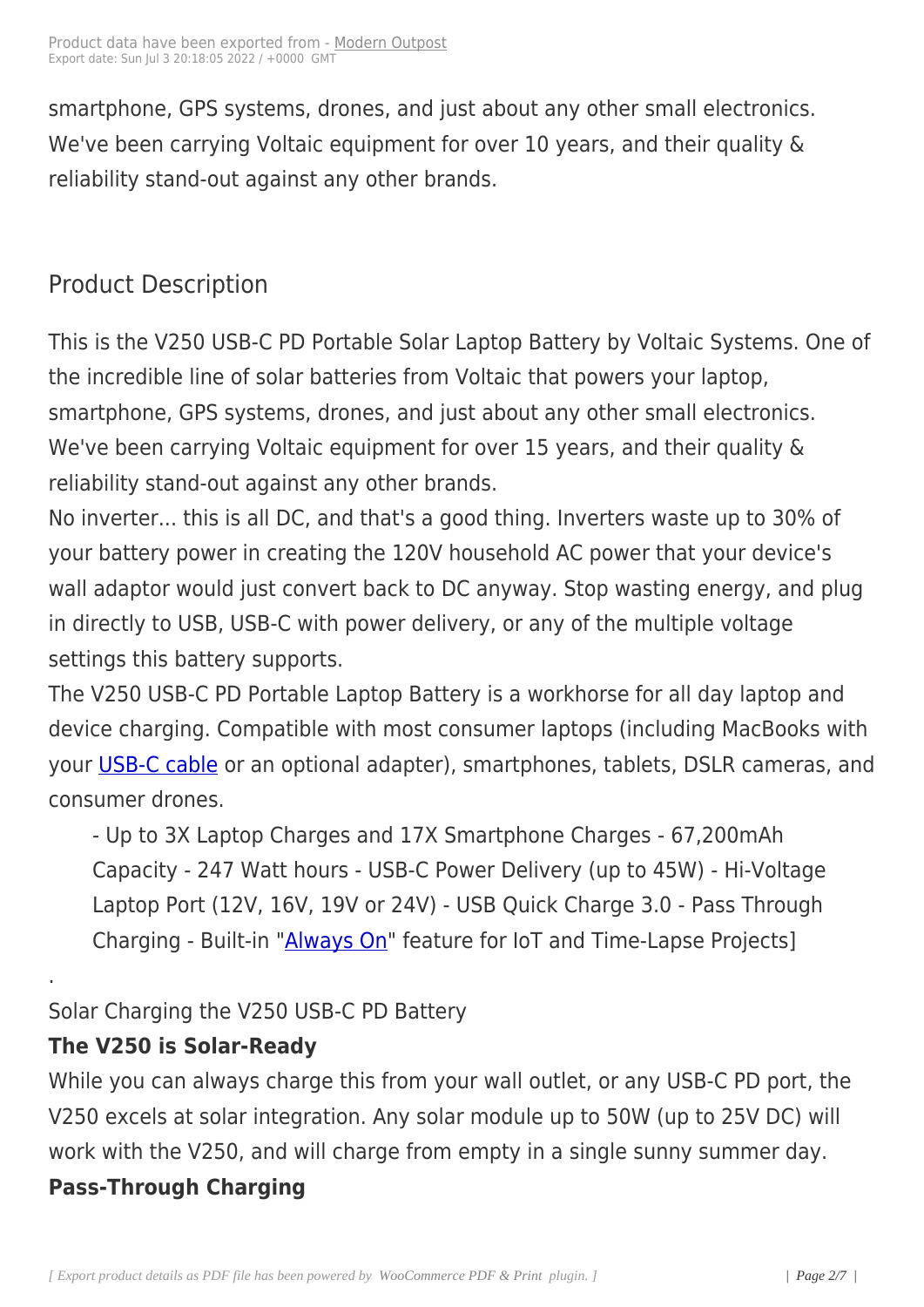smartphone, GPS systems, d[rones, and ju](https://www.modernoutpost.com/?post_type=product&p=18097)st about any other small electronics. We've been carrying Voltaic equipment for over 10 years, and their quality & reliability stand-out against any other brands.

# Product Description

This is the V250 USB-C PD Portable Solar Laptop Battery by Voltaic Systems. One of the incredible line of solar batteries from Voltaic that powers your laptop, smartphone, GPS systems, drones, and just about any other small electronics. We've been carrying Voltaic equipment for over 15 years, and their quality & reliability stand-out against any other brands.

No inverter... this is all DC, and that's a good thing. Inverters waste up to 30% of your battery power in creating the 120V household AC power that your device's wall adaptor would just convert back to DC anyway. Stop wasting energy, and plug in directly to USB, USB-C with power delivery, or any of the multiple voltage settings this battery supports.

The V250 USB-C PD Portable Laptop Battery is a workhorse for all day laptop and device charging. Compatible with most consumer laptops (including MacBooks with your USB-C cable or an optional adapter), smartphones, tablets, DSLR cameras, and consumer drones.

[- Up to 3X La](https://www.modernoutpost.com/product/usb-c-laptop-cable-by-voltaic/)ptop Charges and 17X Smartphone Charges - 67,200mAh Capacity - 247 Watt hours - USB-C Power Delivery (up to 45W) - Hi-Voltage Laptop Port (12V, 16V, 19V or 24V) - USB Quick Charge 3.0 - Pass Through Charging - Built-in "Always On" feature for IoT and Time-Lapse Projects]

# Solar Charging the V25[0 USB-C PD](https://voltaicsystems.com/always-on/) Battery

# **The V250 is Solar-Ready**

.

While you can always charge this from your wall outlet, or any USB-C PD port, the V250 excels at solar integration. Any solar module up to 50W (up to 25V DC) will work with the V250, and will charge from empty in a single sunny summer day.

#### **Pass-Through Charging**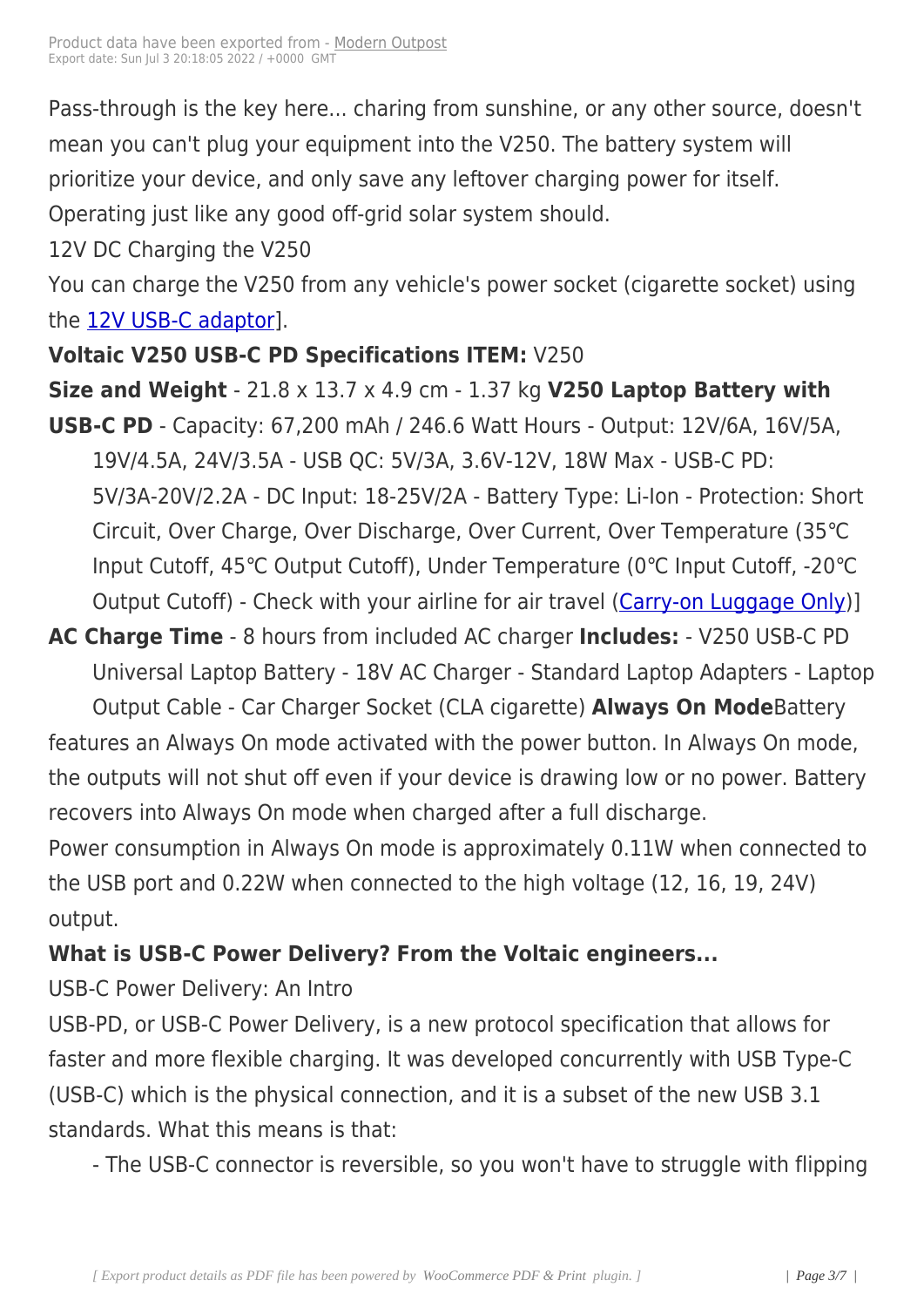Pass-through is the key here[... charing fr](https://www.modernoutpost.com/?post_type=product&p=18097)om sunshine, or any other source, doesn't mean you can't plug your equipment into the V250. The battery system will prioritize your device, and only save any leftover charging power for itself. Operating just like any good off-grid solar system should.

12V DC Charging the V250

You can charge the V250 from any vehicle's power socket (cigarette socket) using the 12V USB-C adaptor].

#### **Voltaic V250 USB-C PD Specifications ITEM:** V250

# **Siz[e and Weight](https://www.modernoutpost.com/product/usb-c-car-charger-by-voltaic/)** - 21.8 x 13.7 x 4.9 cm - 1.37 kg **V250 Laptop Battery with**

- **USB-C PD** Capacity: 67,200 mAh / 246.6 Watt Hours Output: 12V/6A, 16V/5A, 19V/4.5A, 24V/3.5A - USB QC: 5V/3A, 3.6V-12V, 18W Max - USB-C PD: 5V/3A-20V/2.2A - DC Input: 18-25V/2A - Battery Type: Li-Ion - Protection: Short Circuit, Over Charge, Over Discharge, Over Current, Over Temperature (35℃ Input Cutoff, 45℃ Output Cutoff), Under Temperature (0℃ Input Cutoff, -20℃ Output Cutoff) - Check with your airline for air travel (Carry-on Luggage Only)]
- **AC Charge Time** 8 hours from included AC charger **Includes:** V250 USB-C PD Universal Laptop Battery - 18V AC Charger - Standar[d Laptop Adapters](https://support.voltaicsystems.com/articles/lithium-battery-airline-policy) - Laptop

Output Cable - Car Charger Socket (CLA cigarette) **Always On Mode**Battery features an Always On mode activated with the power button. In Always On mode, the outputs will not shut off even if your device is drawing low or no power. Battery recovers into Always On mode when charged after a full discharge.

Power consumption in Always On mode is approximately 0.11W when connected to the USB port and 0.22W when connected to the high voltage (12, 16, 19, 24V) output.

# **What is USB-C Power Delivery? From the Voltaic engineers...**

USB-C Power Delivery: An Intro

USB-PD, or USB-C Power Delivery, is a new protocol specification that allows for faster and more flexible charging. It was developed concurrently with USB Type-C (USB-C) which is the physical connection, and it is a subset of the new USB 3.1 standards. What this means is that:

- The USB-C connector is reversible, so you won't have to struggle with flipping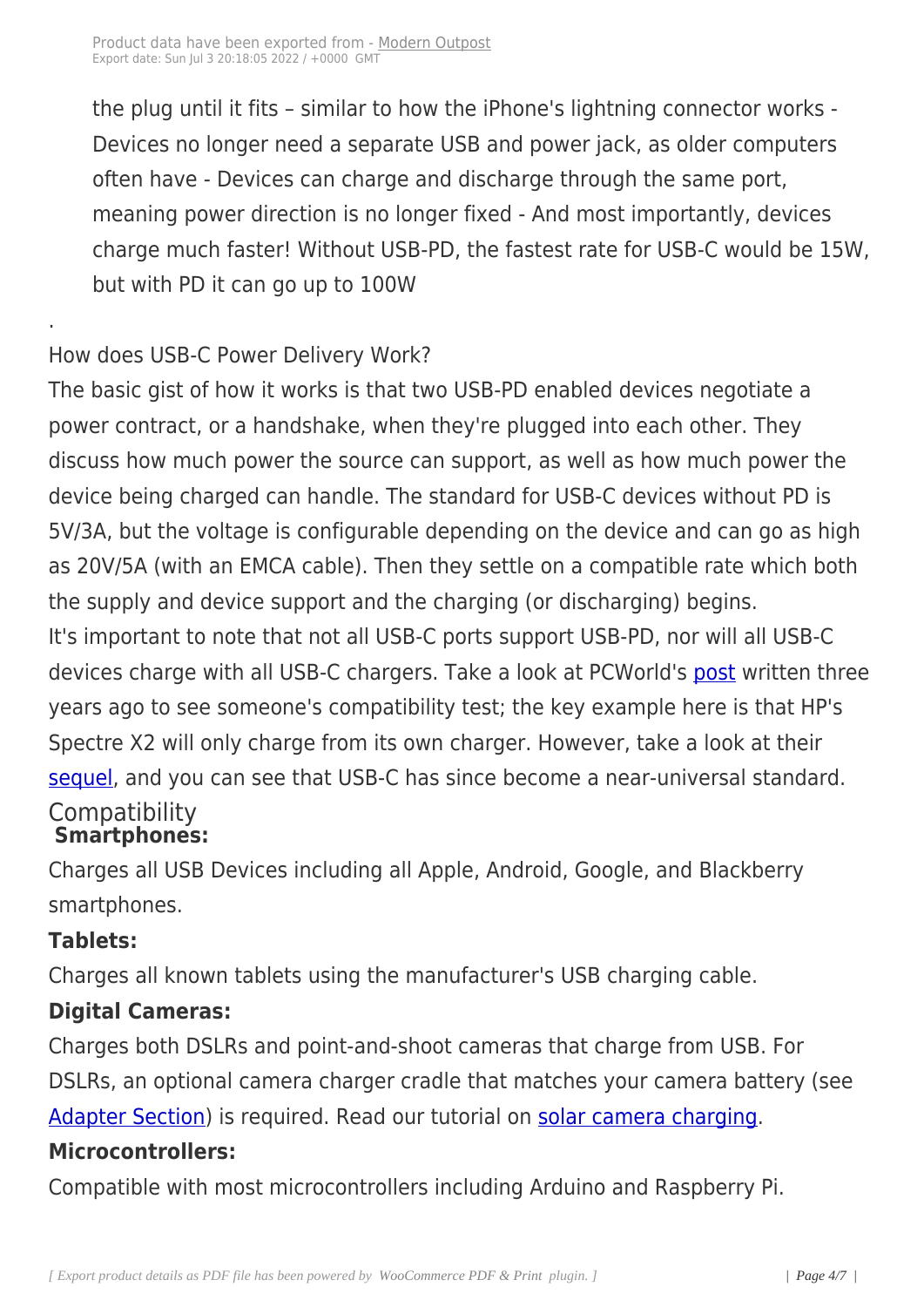the plug until it fits – similar [to how the iP](https://www.modernoutpost.com/?post_type=product&p=18097)hone's lightning connector works - Devices no longer need a separate USB and power jack, as older computers often have - Devices can charge and discharge through the same port, meaning power direction is no longer fixed - And most importantly, devices charge much faster! Without USB-PD, the fastest rate for USB-C would be 15W, but with PD it can go up to 100W

# How does USB-C Power Delivery Work?

The basic gist of how it works is that two USB-PD enabled devices negotiate a power contract, or a handshake, when they're plugged into each other. They discuss how much power the source can support, as well as how much power the device being charged can handle. The standard for USB-C devices without PD is 5V/3A, but the voltage is configurable depending on the device and can go as high as 20V/5A (with an EMCA cable). Then they settle on a compatible rate which both the supply and device support and the charging (or discharging) begins. It's important to note that not all USB-C ports support USB-PD, nor will all USB-C devices charge with all USB-C chargers. Take a look at PCWorld's post written three years ago to see someone's compatibility test; the key example here is that HP's Spectre X2 will only charge from its own charger. However, take [a look](https://www.pcworld.com/article/3017182/hardware/usb-c-charging-universal-or-bust-we-plug-in-every-device-we-have-to-chase-the-dream.html) at their sequel, and you can see that USB-C has since become a near-universal standard. **Compatibility Smartphones:**

# [Charge](https://www.pcworld.com/article/3170184/laptop-accessories/universal-usb-c-charging-how-the-dream-is-coming-true.html)s all USB Devices including all Apple, Android, Google, and Blackberry smartphones.

# **Tablets:**

.

Charges all known tablets using the manufacturer's USB charging cable.

# **Digital Cameras:**

Charges both DSLRs and point-and-shoot cameras that charge from USB. For DSLRs, an optional camera charger cradle that matches your camera battery (see Adapter Section) is required. Read our tutorial on solar camera charging.

# **Microcontrollers:**

[Compatible with](https://voltaicsystems.com/camera-chargers) most microcontrollers including [Arduino and Raspberry](https://voltaicsystems.com/solar-camera-charger) Pi.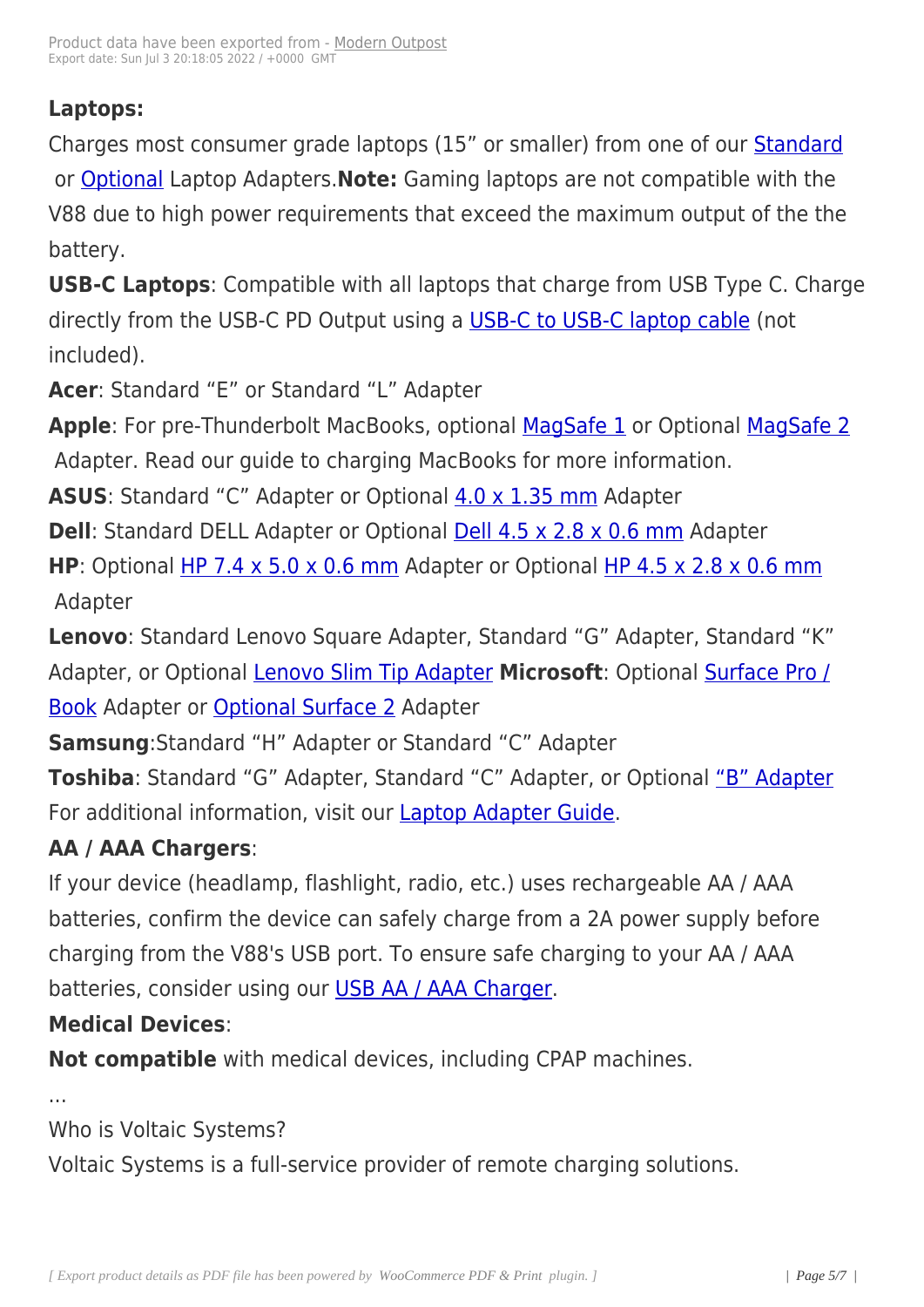#### **Laptops:**

Charges most consumer grade laptops (15" or smaller) from one of our Standard or Optional Laptop Adapters.**Note:** Gaming laptops are not compatible with the V88 due to high power requirements that exceed the maximum output [of the the](https://voltaicsystems.com/standard-laptop-adapters/) bat[tery.](https://voltaicsystems.com/optional-laptop-adapters)

**USB-C Laptops**: Compatible with all laptops that charge from USB Type C. Charge directly from the USB-C PD Output using a USB-C to USB-C laptop cable (not included).

**Acer**: Standard "E" or Standard "L" Adapt[er](https://voltaicsystems.com/usb-c-laptop-cable)

Apple: For pre-Thunderbolt MacBooks, optional MagSafe 1 or Optional MagSafe 2 Adapter. Read our guide to charging MacBooks for more information.

**ASUS**: Standard "C" Adapter or Optional 4.0 x 1[.35 mm Ad](https://voltaicsystems.com/magsafe-1)apter

**Dell**: Standard DELL Adapter or Optional **Dell 4.5 x 2.8 x 0.6 mm** Adapter

**HP**: Optional HP 7.4 x 5.0 x 0.6 mm Ada[pter or Optional](https://voltaicsystems.com/f5521-40135) HP 4.5 x 2.8 x 0.6 mm Adapter

**Lenovo**: Sta[ndard Lenovo Square A](https://voltaicsystems.com/f5521-745106hp)dapter, Standard "G[" Adapter, Standard "K](https://voltaicsystems.com/f5521-4530-hp)" Adapter, or Optional Lenovo Slim Tip Adapter **Microsoft**: Optional Surface Pro / **Book Adapter or Optional Surface 2 Adapter** 

**Samsung**:Standard ["H" Adapter or Standard](https://voltaicsystems.com/f5521-lenovo-super-slim) "C" Adapter

**[Tosh](https://voltaicsystems.com/surface-pro-3)iba**: Stand[ard "G" Adapter, Sta](https://voltaicsystems.com/surface-pro-2)ndard "C" Adapter, or Optional "B" Adapter For additional information, visit our Laptop Adapter Guide.

# **AA / AAA Chargers**:

If your device (headlamp, flashlight[, radio, etc.\) uses rech](https://blog.voltaicsystems.com/laptop-adapter-guide/)argeable AA / AAA batteries, confirm the device can safely charge from a 2A power supply before charging from the V88's USB port. To ensure safe charging to your AA / AAA batteries, consider using our USB AA / AAA Charger.

#### **Medical Devices**:

**Not compatible** with medic[al devices, including CP](https://voltaicsystems.com/usb-aa-charger)AP machines.

...

Who is Voltaic Systems?

Voltaic Systems is a full-service provider of remote charging solutions.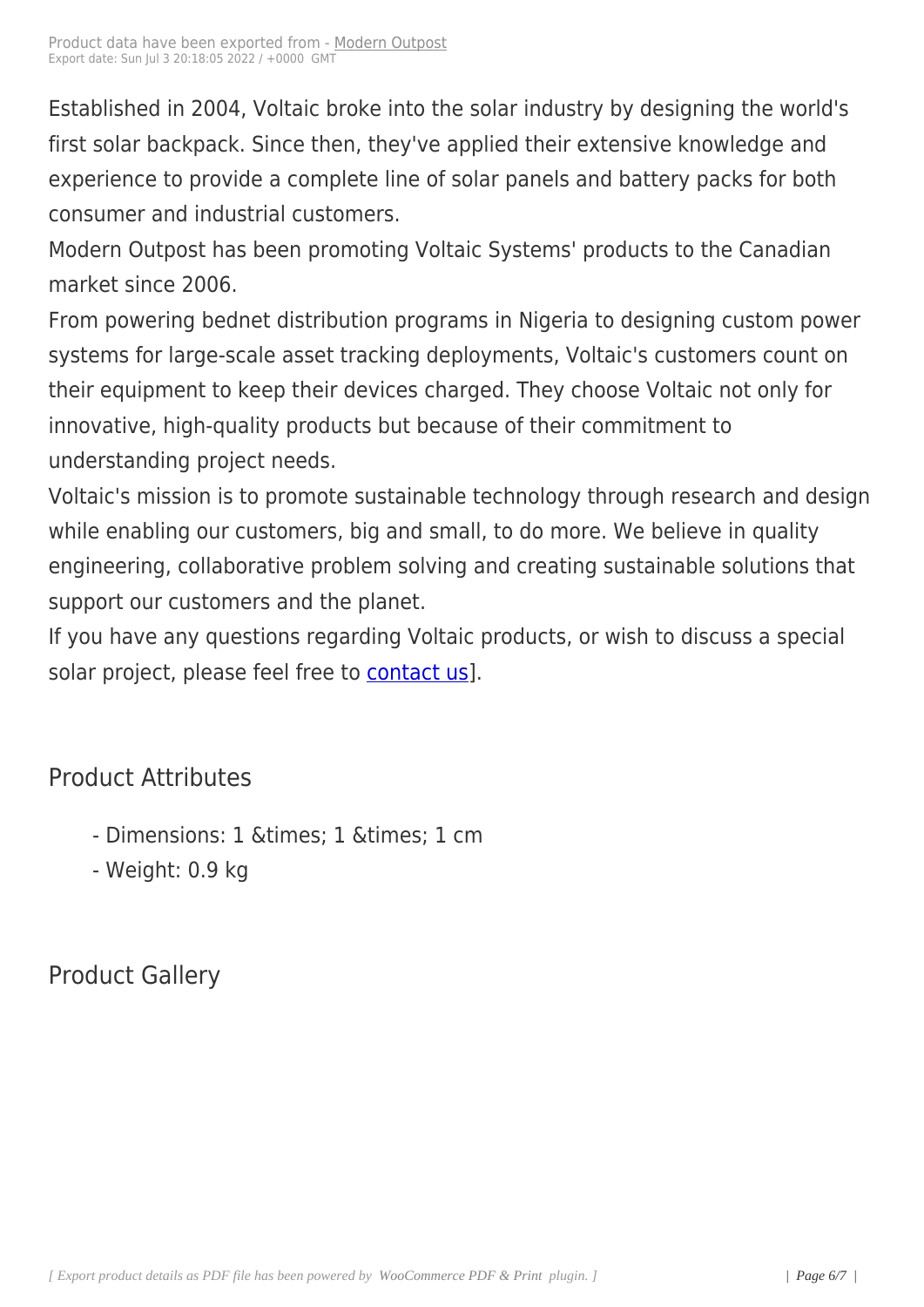Established in 2004, Voltaic [broke into th](https://www.modernoutpost.com/?post_type=product&p=18097)e solar industry by designing the world's first solar backpack. Since then, they've applied their extensive knowledge and experience to provide a complete line of solar panels and battery packs for both consumer and industrial customers.

Modern Outpost has been promoting Voltaic Systems' products to the Canadian market since 2006.

From powering bednet distribution programs in Nigeria to designing custom power systems for large-scale asset tracking deployments, Voltaic's customers count on their equipment to keep their devices charged. They choose Voltaic not only for innovative, high-quality products but because of their commitment to understanding project needs.

Voltaic's mission is to promote sustainable technology through research and design while enabling our customers, big and small, to do more. We believe in quality engineering, collaborative problem solving and creating sustainable solutions that support our customers and the planet.

If you have any questions regarding Voltaic products, or wish to discuss a special solar project, please feel free to contact us].

# Product Attributes

- Dimensions: 1 & times; 1 & times; 1 cm
- Weight: 0.9 kg

Product Gallery